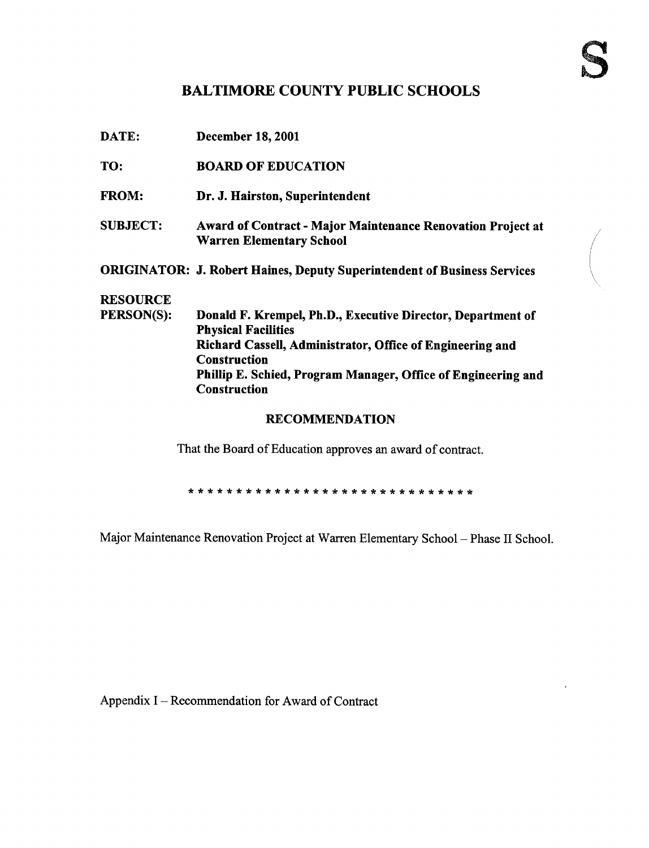## BALTIMORE COUNTY PUBLIC SCHOOLS

| DATE:           | <b>December 18, 2001</b>                                                                              |
|-----------------|-------------------------------------------------------------------------------------------------------|
| TO:             | <b>BOARD OF EDUCATION</b>                                                                             |
| <b>FROM:</b>    | Dr. J. Hairston, Superintendent                                                                       |
| <b>SUBJECT:</b> | <b>Award of Contract - Major Maintenance Renovation Project at</b><br><b>Warren Elementary School</b> |
|                 | <b>ORIGINATOR: J. Robert Haines, Deputy Superintendent of Business Services</b>                       |
| <b>RESOURCE</b> |                                                                                                       |
| PERSON(S):      | Donald F. Krempel, Ph.D., Executive Director, Department of<br><b>Physical Facilities</b>             |
|                 | Richard Cassell, Administrator, Office of Engineering and<br><b>Construction</b>                      |
|                 | Phillip E. Schied, Program Manager, Office of Engineering and<br><b>Construction</b>                  |
|                 | <b>RECOMMENDATION</b>                                                                                 |

That the Board of Education approves an award of contract.

Major Maintenance Renovation Project at Warren Elementary School - Phase II School.

Appendix I - Recommendation for Award of Contract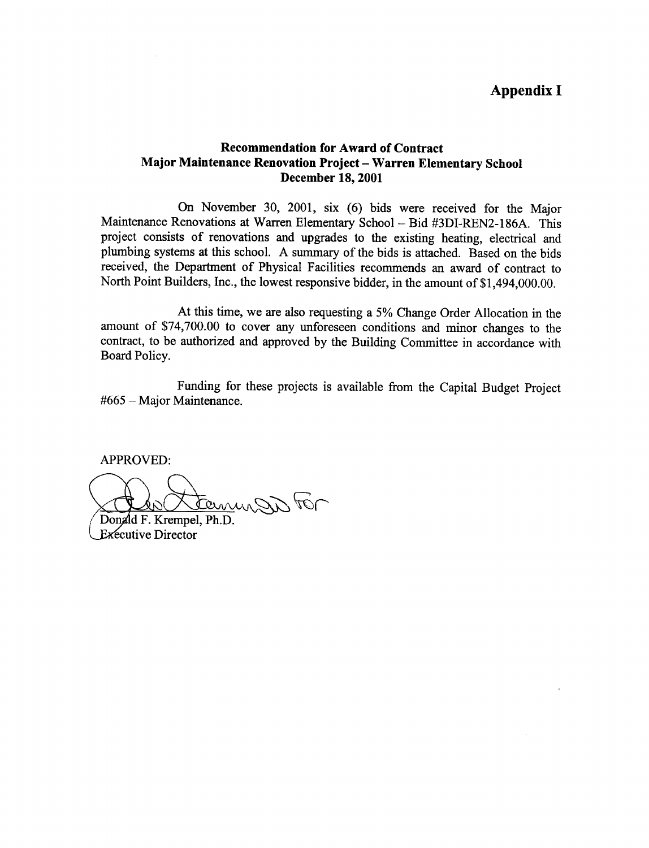## Recommendation for Award of Contract Major Maintenance Renovation Project - Warren Elementary School December 18, 2001

On November 30, 2001, six (6) bids were received for the Major Maintenance Renovations at Warren Elementary School - Bid #3DI-REN2-186A. This project consists of renovations and upgrades to the existing heating, electrical and plumbing systems at this school. A summary of the bids is attached. Based on the bids received, the Department of Physical Facilities recommends an award of contract to North Point Builders, Inc., the lowest responsive bidder, in the amount of \$1,494,000.00.

At this time, we are also requesting a 5% Change Order Allocation in the amount of \$74,700.00 to cover any unforeseen conditions and minor changes to the contract, to be authorized and approved by the Building Committee in accordance with Board Policy.

Funding for these projects is available from the Capital Budget Project  $#665 -$ Major Maintenance.

APPROVED:

ternungen tor

Donald F. Krempel, Ph.D. **Executive Director**